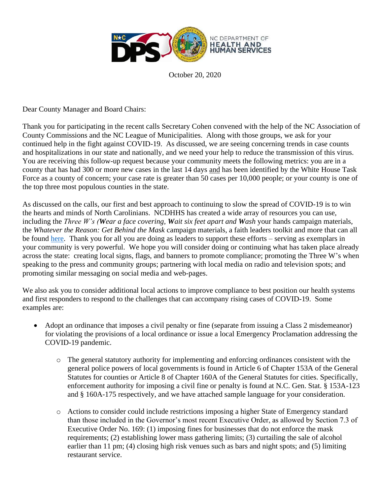

October 20, 2020

Dear County Manager and Board Chairs:

Thank you for participating in the recent calls Secretary Cohen convened with the help of the NC Association of County Commissions and the NC League of Municipalities. Along with those groups, we ask for your continued help in the fight against COVID-19. As discussed, we are seeing concerning trends in case counts and hospitalizations in our state and nationally, and we need your help to reduce the transmission of this virus. You are receiving this follow-up request because your community meets the following metrics: you are in a county that has had 300 or more new cases in the last 14 days and has been identified by the White House Task Force as a county of concern; your case rate is greater than 50 cases per 10,000 people; or your county is one of the top three most populous counties in the state.

As discussed on the calls, our first and best approach to continuing to slow the spread of COVID-19 is to win the hearts and minds of North Carolinians. NCDHHS has created a wide array of resources you can use, including the *Three W's (Wear a face covering, Wait six feet apart and Wash* your hands campaign materials, the *Whatever the Reason: Get Behind the Mask* campaign materials, a faith leaders toolkit and more that can all be found [here.](https://covid19.ncdhhs.gov/materials-resources) Thank you for all you are doing as leaders to support these efforts – serving as exemplars in your community is very powerful. We hope you will consider doing or continuing what has taken place already across the state: creating local signs, flags, and banners to promote compliance; promoting the Three W's when speaking to the press and community groups; partnering with local media on radio and television spots; and promoting similar messaging on social media and web-pages.

We also ask you to consider additional local actions to improve compliance to best position our health systems and first responders to respond to the challenges that can accompany rising cases of COVID-19. Some examples are:

- Adopt an ordinance that imposes a civil penalty or fine (separate from issuing a Class 2 misdemeanor) for violating the provisions of a local ordinance or issue a local Emergency Proclamation addressing the COVID-19 pandemic.
	- o The general statutory authority for implementing and enforcing ordinances consistent with the general police powers of local governments is found in Article 6 of Chapter 153A of the General Statutes for counties or Article 8 of Chapter 160A of the General Statutes for cities. Specifically, enforcement authority for imposing a civil fine or penalty is found at N.C. Gen. Stat. § 153A-123 and § 160A-175 respectively, and we have attached sample language for your consideration.
	- o Actions to consider could include restrictions imposing a higher State of Emergency standard than those included in the Governor's most recent Executive Order, as allowed by Section 7.3 of Executive Order No. 169: (1) imposing fines for businesses that do not enforce the mask requirements; (2) establishing lower mass gathering limits; (3) curtailing the sale of alcohol earlier than 11 pm; (4) closing high risk venues such as bars and night spots; and (5) limiting restaurant service.